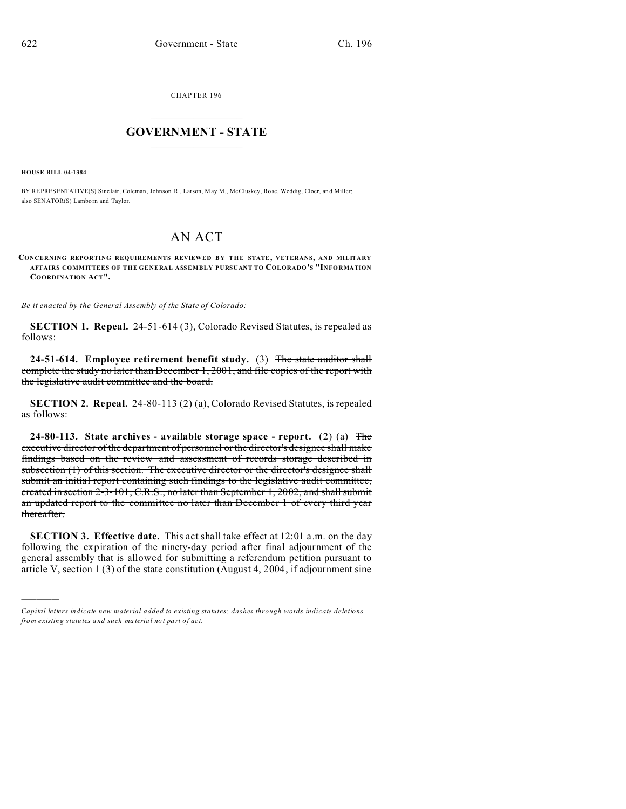CHAPTER 196  $\overline{\phantom{a}}$  , where  $\overline{\phantom{a}}$ 

## **GOVERNMENT - STATE**  $\_$   $\_$

**HOUSE BILL 04-1384**

)))))

BY REPRESENTATIVE(S) Sinclair, Coleman, Johnson R., Larson, May M., McCluskey, Rose, Weddig, Cloer, and Miller; also SENATOR(S) Lamborn and Taylor.

## AN ACT

**CONCERNING REPORTING REQUIREMENTS REVIEWED BY THE STATE, VETERANS, AND MILITARY AFFAIRS COMMITTEES OF THE GENERAL ASSEMBLY PURSUANT TO COLORADO'S "INFORMATION COORDINATION ACT".**

*Be it enacted by the General Assembly of the State of Colorado:*

**SECTION 1. Repeal.** 24-51-614 (3), Colorado Revised Statutes, is repealed as follows:

**24-51-614. Employee retirement benefit study.** (3) The state auditor shall complete the study no later than December 1, 2001, and file copies of the report with the legislative audit committee and the board.

**SECTION 2. Repeal.** 24-80-113 (2) (a), Colorado Revised Statutes, is repealed as follows:

**24-80-113. State archives - available storage space - report.** (2) (a) The executive director of the department of personnel or the director's designee shall make findings based on the review and assessment of records storage described in subsection (1) of this section. The executive director or the director's designee shall submit an initial report containing such findings to the legislative audit committee, created in section 2-3-101, C.R.S., no later than September 1, 2002, and shall submit an updated report to the committee no later than December 1 of every third year thereafter.

**SECTION 3. Effective date.** This act shall take effect at 12:01 a.m. on the day following the expiration of the ninety-day period after final adjournment of the general assembly that is allowed for submitting a referendum petition pursuant to article V, section 1 (3) of the state constitution (August 4, 2004, if adjournment sine

*Capital letters indicate new material added to existing statutes; dashes through words indicate deletions from e xistin g statu tes a nd such ma teria l no t pa rt of ac t.*